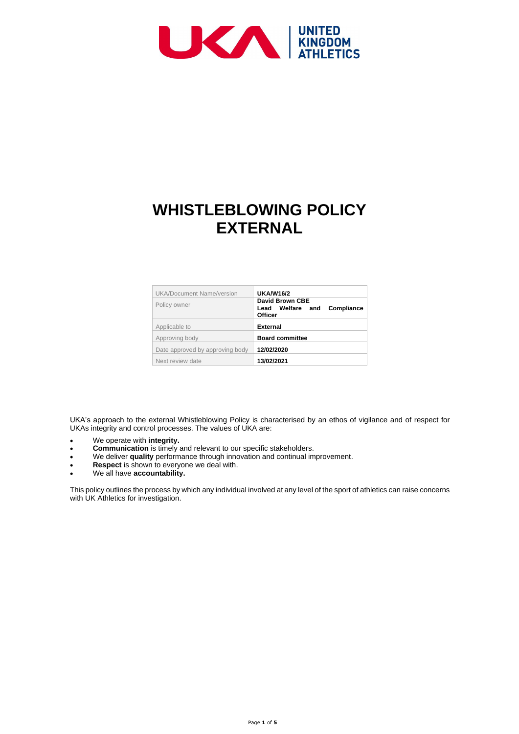

# **WHISTLEBLOWING POLICY EXTERNAL**

| <b>UKA/Document Name/version</b> | <b>UKA/W16/2</b>                                                                  |
|----------------------------------|-----------------------------------------------------------------------------------|
| Policy owner                     | <b>David Brown CBE</b><br><b>Compliance</b><br>Lead Welfare and<br><b>Officer</b> |
| Applicable to                    | <b>External</b>                                                                   |
| Approving body                   | <b>Board committee</b>                                                            |
| Date approved by approving body  | 12/02/2020                                                                        |
| Next review date                 | 13/02/2021                                                                        |

This policy outlines the process by which any individual involved at any level of the sport of athletics can raise concerns with UK Athletics for investigation.

UKA's approach to the external Whistleblowing Policy is characterised by an ethos of vigilance and of respect for UKAs integrity and control processes. The values of UKA are:

- We operate with **integrity.**
- **Communication** is timely and relevant to our specific stakeholders.
- We deliver **quality** performance through innovation and continual improvement.
- **Respect** is shown to everyone we deal with.
- We all have **accountability.**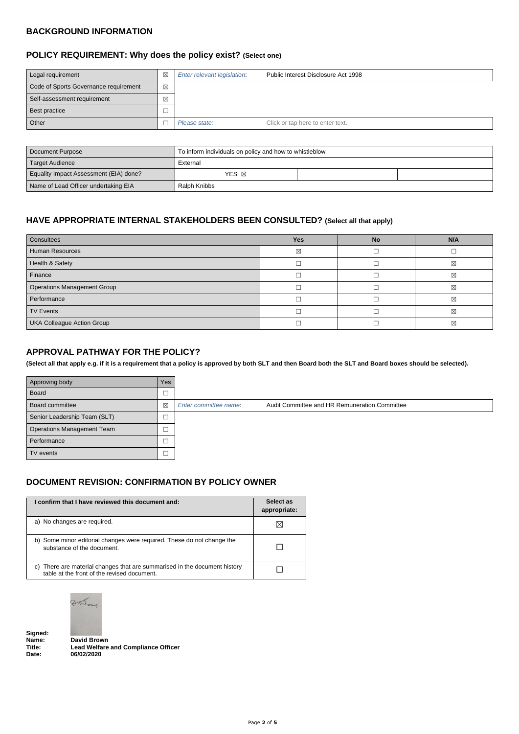### **BACKGROUND INFORMATION**

| Legal requirement                     | $\boxtimes$ | Enter relevant legislation. | Public Interest Disclosure Act 1998 |
|---------------------------------------|-------------|-----------------------------|-------------------------------------|
| Code of Sports Governance requirement | $\boxtimes$ |                             |                                     |
| Self-assessment requirement           | $\boxtimes$ |                             |                                     |
| Best practice                         |             |                             |                                     |
| Other                                 |             | Please state:               | Click or tap here to enter text.    |

# **POLICY REQUIREMENT: Why does the policy exist? (Select one)**

| Document Purpose                       | To inform individuals on policy and how to whistleblow |  |  |
|----------------------------------------|--------------------------------------------------------|--|--|
| <b>Target Audience</b>                 | External                                               |  |  |
| Equality Impact Assessment (EIA) done? | YES <b>X</b>                                           |  |  |
| Name of Lead Officer undertaking EIA   | Ralph Knibbs                                           |  |  |

# **HAVE APPROPRIATE INTERNAL STAKEHOLDERS BEEN CONSULTED? (Select all that apply)**

| Consultees                         | <b>Yes</b>  | <b>No</b> | N/A         |
|------------------------------------|-------------|-----------|-------------|
| <b>Human Resources</b>             | $\boxtimes$ |           |             |
| Health & Safety                    |             |           | $\boxtimes$ |
| Finance                            |             |           | $\boxtimes$ |
| <b>Operations Management Group</b> |             |           | $\boxtimes$ |
| Performance                        |             |           | $\boxtimes$ |
| <b>TV Events</b>                   |             |           | $\boxtimes$ |
| <b>UKA Colleague Action Group</b>  |             |           | $\boxtimes$ |

### **APPROVAL PATHWAY FOR THE POLICY?**

**(Select all that apply e.g. if it is a requirement that a policy is approved by both SLT and then Board both the SLT and Board boxes should be selected).**

| Approving body               | Yes         |                                                                        |
|------------------------------|-------------|------------------------------------------------------------------------|
| Board                        |             |                                                                        |
| Board committee              | $\boxtimes$ | Audit Committee and HR Remuneration Committee<br>Enter committee name: |
| Senior Leadership Team (SLT) | └           |                                                                        |
| Operations Management Team   | ─           |                                                                        |
| Performance                  |             |                                                                        |
| TV events                    |             |                                                                        |

### **DOCUMENT REVISION: CONFIRMATION BY POLICY OWNER**

| I confirm that I have reviewed this document and:                                                    | Select as<br>appropriate: |
|------------------------------------------------------------------------------------------------------|---------------------------|
| a) No changes are required.                                                                          | X                         |
| b) Some minor editorial changes were required. These do not change the<br>substance of the document. |                           |

c) There are material changes that are summarised in the document history  $\Box$ 



Signed:<br>Name:

**Name: David Brown Lead Welfare and Compliance Officer Date: 06/02/2020**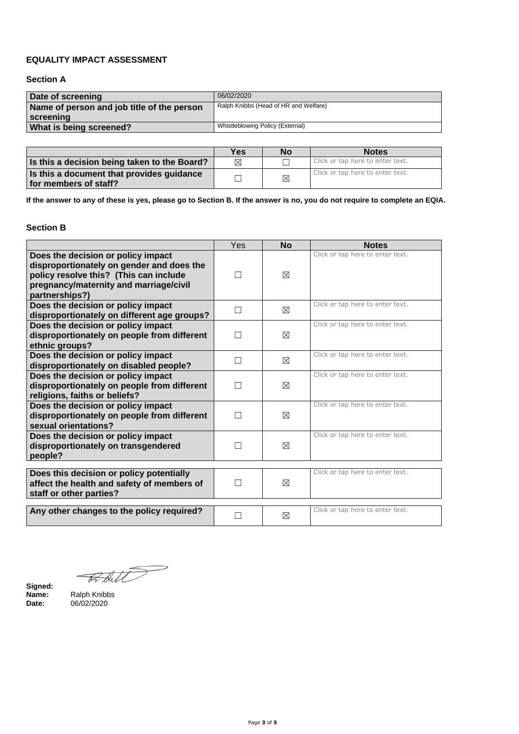### **EQUALITY IMPACT ASSESSMENT**

**Section A**

| Date of screening                          | 06/02/2020                            |
|--------------------------------------------|---------------------------------------|
| Name of person and job title of the person | Ralph Knibbs (Head of HR and Welfare) |
| <b>Screening</b>                           |                                       |
| <b>What is being screened?</b>             | Whistleblowing Policy (External)      |

|                                                                    | <b>Yes</b> | <b>No</b>   | <b>Notes</b>                     |
|--------------------------------------------------------------------|------------|-------------|----------------------------------|
| Is this a decision being taken to the Board?                       | ⊠          |             | Click or tap here to enter text. |
| Is this a document that provides guidance<br>for members of staff? |            | $\boxtimes$ | Click or tap here to enter text. |

**If the answer to any of these is yes, please go to Section B. If the answer is no, you do not require to complete an EQIA.**

# **Section B**

|                                                                                                                                                                                       | Yes          | <b>No</b>   | <b>Notes</b>                     |
|---------------------------------------------------------------------------------------------------------------------------------------------------------------------------------------|--------------|-------------|----------------------------------|
| Does the decision or policy impact<br>disproportionately on gender and does the<br>policy resolve this? (This can include<br>pregnancy/maternity and marriage/civil<br>partnerships?) | $\mathbf{L}$ | $\boxtimes$ | Click or tap here to enter text. |
| Does the decision or policy impact<br>disproportionately on different age groups?                                                                                                     | $\Box$       | $\boxtimes$ | Click or tap here to enter text. |
| Does the decision or policy impact<br>disproportionately on people from different<br>ethnic groups?                                                                                   | $\Box$       | $\boxtimes$ | Click or tap here to enter text. |
| Does the decision or policy impact<br>disproportionately on disabled people?                                                                                                          | П            | $\boxtimes$ | Click or tap here to enter text. |
| Does the decision or policy impact<br>disproportionately on people from different<br>religions, faiths or beliefs?                                                                    | $\Box$       | $\boxtimes$ | Click or tap here to enter text. |
| Does the decision or policy impact<br>disproportionately on people from different<br>sexual orientations?                                                                             | $\Box$       | $\boxtimes$ | Click or tap here to enter text. |
| Does the decision or policy impact<br>disproportionately on transgendered<br>people?                                                                                                  | Г            | $\boxtimes$ | Click or tap here to enter text. |
| Does this decision or policy potentially<br>affect the health and safety of members of<br>staff or other parties?                                                                     | $\Box$       | $\boxtimes$ | Click or tap here to enter text. |
| Any other changes to the policy required?                                                                                                                                             |              | $\boxtimes$ | Click or tap here to enter text. |



**Signed: Name:** Ralph Knibbs **Date:** 06/02/2020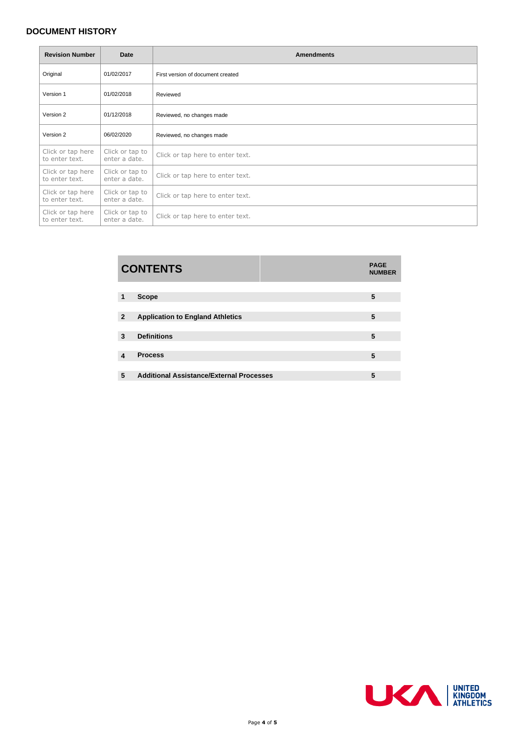# **DOCUMENT HISTORY**

| <b>Revision Number</b>              | <b>Date</b>                      | <b>Amendments</b>                 |
|-------------------------------------|----------------------------------|-----------------------------------|
| Original                            | 01/02/2017                       | First version of document created |
| Version 1                           | 01/02/2018                       | Reviewed                          |
| Version 2                           | 01/12/2018                       | Reviewed, no changes made         |
| Version 2                           | 06/02/2020                       | Reviewed, no changes made         |
| Click or tap here<br>to enter text. | Click or tap to<br>enter a date. | Click or tap here to enter text.  |
| Click or tap here<br>to enter text. | Click or tap to<br>enter a date. | Click or tap here to enter text.  |
| Click or tap here<br>to enter text. | Click or tap to<br>enter a date. | Click or tap here to enter text.  |
| Click or tap here<br>to enter text. | Click or tap to<br>enter a date. | Click or tap here to enter text.  |

|                | <b>CONTENTS</b>                                 | <b>PAGE</b><br><b>NUMBER</b> |
|----------------|-------------------------------------------------|------------------------------|
|                |                                                 |                              |
| 1              | <b>Scope</b>                                    | 5                            |
|                |                                                 |                              |
| $\overline{2}$ | <b>Application to England Athletics</b>         | 5                            |
|                |                                                 |                              |
| 3              | <b>Definitions</b>                              | 5                            |
|                |                                                 |                              |
| Δ              | <b>Process</b>                                  | 5                            |
|                |                                                 |                              |
| 5              | <b>Additional Assistance/External Processes</b> | 5                            |
|                |                                                 |                              |